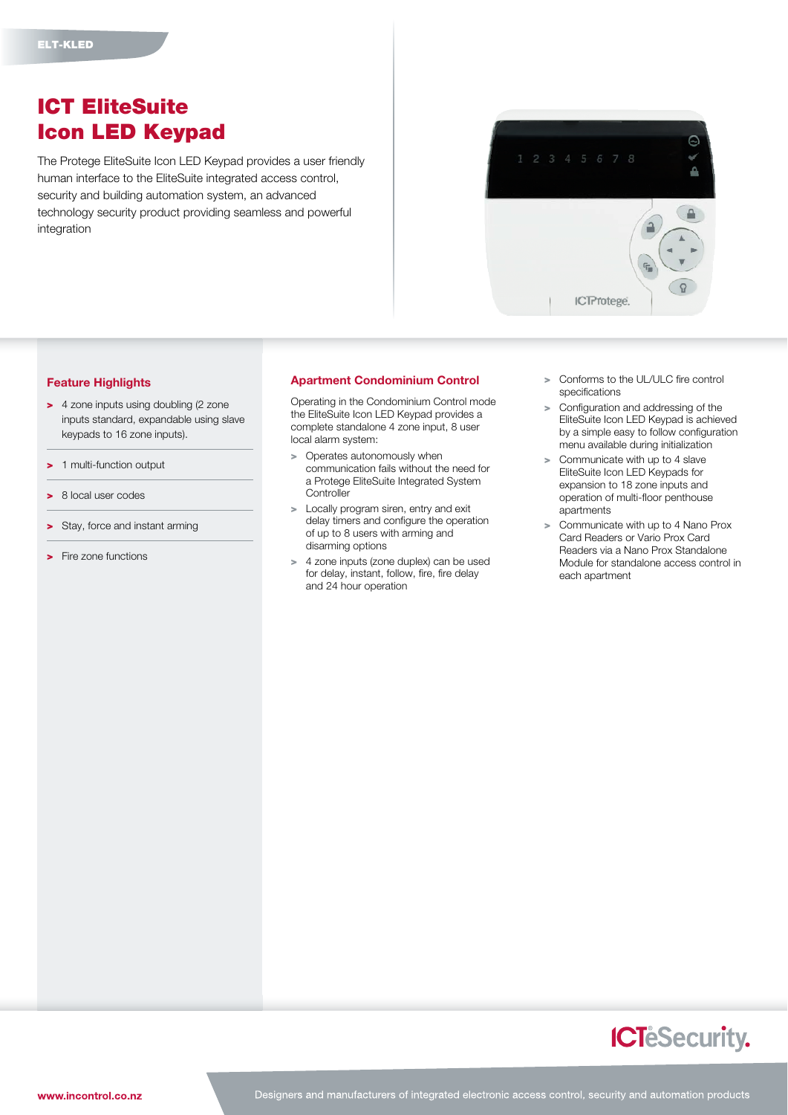## ICT EliteSuite Icon LED Keypad

The Protege EliteSuite Icon LED Keypad provides a user friendly human interface to the EliteSuite integrated access control, security and building automation system, an advanced technology security product providing seamless and powerful integration



## Feature Highlights

- > 4 zone inputs using doubling (2 zone inputs standard, expandable using slave keypads to 16 zone inputs).
- > 1 multi-function output
- > 8 local user codes
- > Stay, force and instant arming
- > Fire zone functions

## Apartment Condominium Control

Operating in the Condominium Control mode the EliteSuite Icon LED Keypad provides a complete standalone 4 zone input, 8 user local alarm system:

- > Operates autonomously when communication fails without the need for a Protege EliteSuite Integrated System **Controller**
- > Locally program siren, entry and exit delay timers and configure the operation of up to 8 users with arming and disarming options
- > 4 zone inputs (zone duplex) can be used for delay, instant, follow, fire, fire delay and 24 hour operation
- > Conforms to the UL/ULC fire control specifications
- > Configuration and addressing of the EliteSuite Icon LED Keypad is achieved by a simple easy to follow configuration menu available during initialization
- > Communicate with up to 4 slave EliteSuite Icon LED Keypads for expansion to 18 zone inputs and operation of multi-floor penthouse apartments
- > Communicate with up to 4 Nano Prox Card Readers or Vario Prox Card Readers via a Nano Prox Standalone Module for standalone access control in each apartment